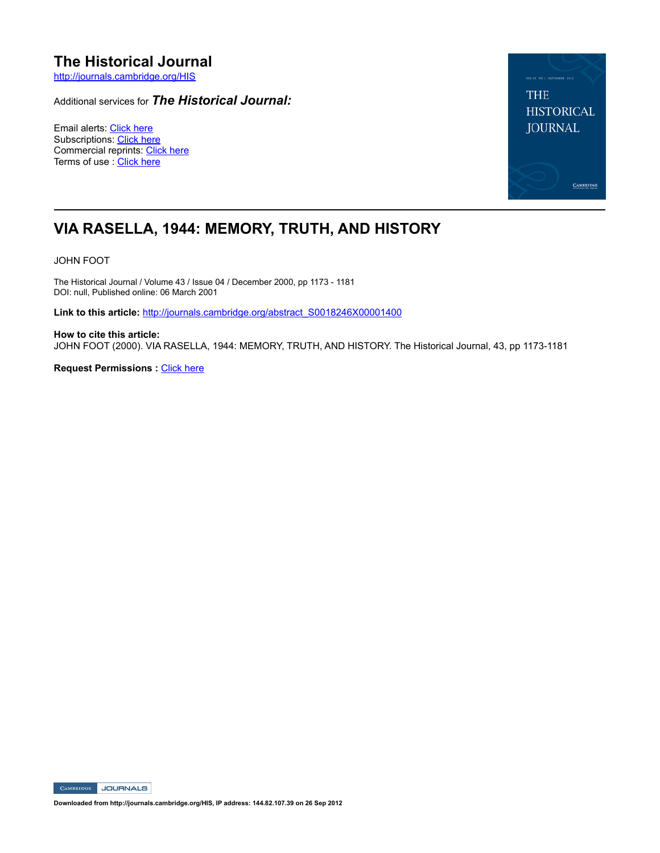# **The Historical Journal**

http://journals.cambridge.org/HIS

Additional services for *The Historical Journal:*

Email alerts: Click here Subscriptions: Click here Commercial reprints: Click here Terms of use : Click here



## **VIA RASELLA, 1944: MEMORY, TRUTH, AND HISTORY**

JOHN FOOT

The Historical Journal / Volume 43 / Issue 04 / December 2000, pp 1173 - 1181 DOI: null, Published online: 06 March 2001

Link to this article: http://journals.cambridge.org/abstract\_S0018246X00001400

**How to cite this article:** JOHN FOOT (2000). VIA RASELLA, 1944: MEMORY, TRUTH, AND HISTORY. The Historical Journal, 43, pp 1173-1181

**Request Permissions : Click here** 

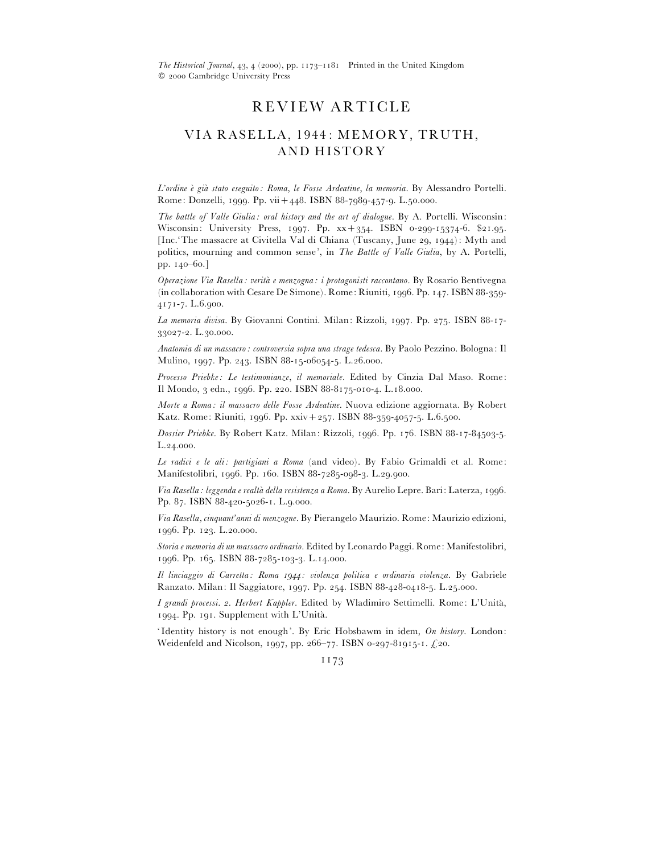*The Historical Journal*, 43, 4 (2000), pp. 1173-1181 Printed in the United Kingdom  $© 2000 Cambridge University Press$ 

## REVIEW ARTICLE

### VIA RASELLA, 1944: MEMORY, TRUTH, AND HISTORY

*L'ordine e*[ *gia*[ *stato eseguito : Roma*, *le Fosse Ardeatine*, *la memoria*. By Alessandro Portelli. Rome: Donzelli, 1999. Pp. vii + 448. ISBN 88-7989-457-9. L.50.000.

*The battle of Valle Giulia : oral history and the art of dialogue*. By A. Portelli. Wisconsin: Wisconsin: University Press, 1997. Pp.  $xx + 354$ . ISBN 0-299-15374-6. \$21.95. [Inc.'The massacre at Civitella Val di Chiana (Tuscany, June 29, 1944): Myth and politics, mourning and common sense', in *The Battle of Valle Giulia*, by A. Portelli, pp. 140-60.]

*Operazione Via Rasella : verita*[ *e menzogna : i protagonisti raccontano*. By Rosario Bentivegna (in collaboration with Cesare De Simone). Rome: Riuniti, 1996. Pp. 147. ISBN  $88-359-$ 4171-7. L.6.900.

La memoria divisa. By Giovanni Contini. Milan: Rizzoli, 1997. Pp. 275. ISBN 88-17-33027-2. L.30.000.

*Anatomia di un massacro : controversia sopra una strage tedesca*. By Paolo Pezzino. Bologna: Il Mulino, 1997. Pp. 243. ISBN 88-15-06054-5. L.26.000.

*Processo Priebke : Le testimonianze*, *il memoriale*. Edited by Cinzia Dal Maso. Rome: Il Mondo, 3 edn., 1996. Pp. 220. ISBN 88-8175-010-4. L.18.000.

*Morte a Roma : il massacro delle Fosse Ardeatine*. Nuova edizione aggiornata. By Robert Katz. Rome: Riuniti, 1996. Pp. xxiv $+257$ . ISBN 88-359-4057-5. L.6.500.

*Dossier Priebke*. By Robert Katz. Milan: Rizzoli, 1996. Pp. 176. ISBN 88-17-84503-5.  $L.24.000.$ 

*Le radici e le ali : partigiani a Roma* (and video). By Fabio Grimaldi et al. Rome: Manifestolibri, 1996. Pp. 160. ISBN 88-7285-098-3. L.29.900.

Via Rasella: leggenda e realtà della resistenza a Roma. By Aurelio Lepre. Bari: Laterza, 1996. Pp. 87. ISBN 88-420-5026-1. L.9.000.

*Via Rasella, cinquant'anni di menzogne*. By Pierangelo Maurizio. Rome: Maurizio edizioni, 1996. Pp. 123. L.20.000.

*Storia e memoria di un massacro ordinario*. Edited by Leonardo Paggi. Rome: Manifestolibri, 1996. Pp. 165. ISBN 88-7285-103-3. L.14.000.

*Il linciaggio di Carretta : Roma : violenza politica e ordinaria violenza*. By Gabriele Ranzato. Milan: Il Saggiatore, 1997. Pp. 254. ISBN 88-428-0418-5. L.25.000.

*I grandi processi. 2. Herbert Kappler*. Edited by Wladimiro Settimelli. Rome: L'Unità, 1994. Pp. 191. Supplement with L'Unità.

'Identity history is not enough'. By Eric Hobsbawm in idem, *On history*. London: Weidenfeld and Nicolson, 1997, pp. 266-77. ISBN 0-297-81915-1.  $\pounds$ 20.

1173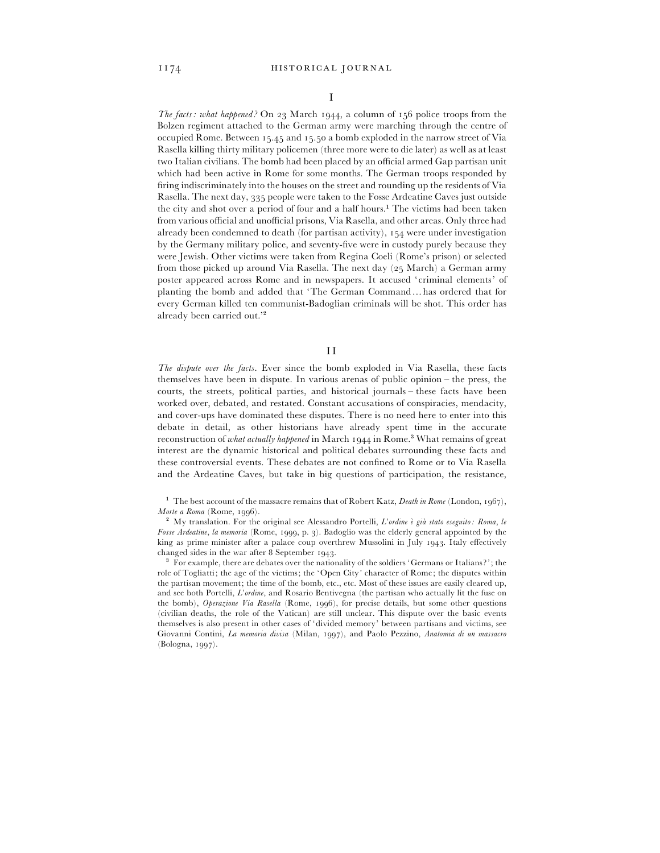*The facts: what happened?* On 23 March 1944, a column of 156 police troops from the Bolzen regiment attached to the German army were marching through the centre of occupied Rome. Between  $15.45$  and  $15.50$  a bomb exploded in the narrow street of Via Rasella killing thirty military policemen (three more were to die later) as well as at least two Italian civilians. The bomb had been placed by an official armed Gap partisan unit which had been active in Rome for some months. The German troops responded by firing indiscriminately into the houses on the street and rounding up the residents of Via Rasella. The next day, 335 people were taken to the Fosse Ardeatine Caves just outside the city and shot over a period of four and a half hours.<sup>1</sup> The victims had been taken from various official and unofficial prisons, Via Rasella, and other areas. Only three had already been condemned to death (for partisan activity),  $154$  were under investigation by the Germany military police, and seventy-five were in custody purely because they were Jewish. Other victims were taken from Regina Coeli (Rome's prison) or selected from those picked up around Via Rasella. The next day  $(25 \text{ March})$  a German army poster appeared across Rome and in newspapers. It accused 'criminal elements' of planting the bomb and added that 'The German Command…has ordered that for every German killed ten communist-Badoglian criminals will be shot. This order has already been carried out.'<sup>2</sup>

### II

*The dispute over the facts*. Ever since the bomb exploded in Via Rasella, these facts themselves have been in dispute. In various arenas of public opinion – the press, the courts, the streets, political parties, and historical journals – these facts have been worked over, debated, and restated. Constant accusations of conspiracies, mendacity, and cover-ups have dominated these disputes. There is no need here to enter into this debate in detail, as other historians have already spent time in the accurate reconstruction of *what actually happened* in March 1944 in Rome.<sup>3</sup> What remains of great interest are the dynamic historical and political debates surrounding these facts and these controversial events. These debates are not confined to Rome or to Via Rasella and the Ardeatine Caves, but take in big questions of participation, the resistance,

 $^1$  The best account of the massacre remains that of Robert Katz, *Death in Rome* (London, 1967), *Morte a Roma* (Rome, 1996).

<sup>2</sup> My translation. For the original see Alessandro Portelli, *L'ordine è già stato eseguito: Roma*, *le* Fosse Ardeatine, la memoria (Rome, 1999, p. 3). Badoglio was the elderly general appointed by the king as prime minister after a palace coup overthrew Mussolini in July 1943. Italy effectively changed sides in the war after 8 September 1943.

For example, there are debates over the nationality of the soldiers 'Germans or Italians?'; the role of Togliatti; the age of the victims; the 'Open City' character of Rome; the disputes within the partisan movement; the time of the bomb, etc., etc. Most of these issues are easily cleared up, and see both Portelli, *L*'*ordine*, and Rosario Bentivegna (the partisan who actually lit the fuse on the bomb), *Operazione Via Rasella* (Rome, 1996), for precise details, but some other questions (civilian deaths, the role of the Vatican) are still unclear. This dispute over the basic events themselves is also present in other cases of 'divided memory' between partisans and victims, see Giovanni Contini, *La memoria divisa* (Milan, 1997), and Paolo Pezzino, *Anatomia di un massacro* (Bologna, 1997).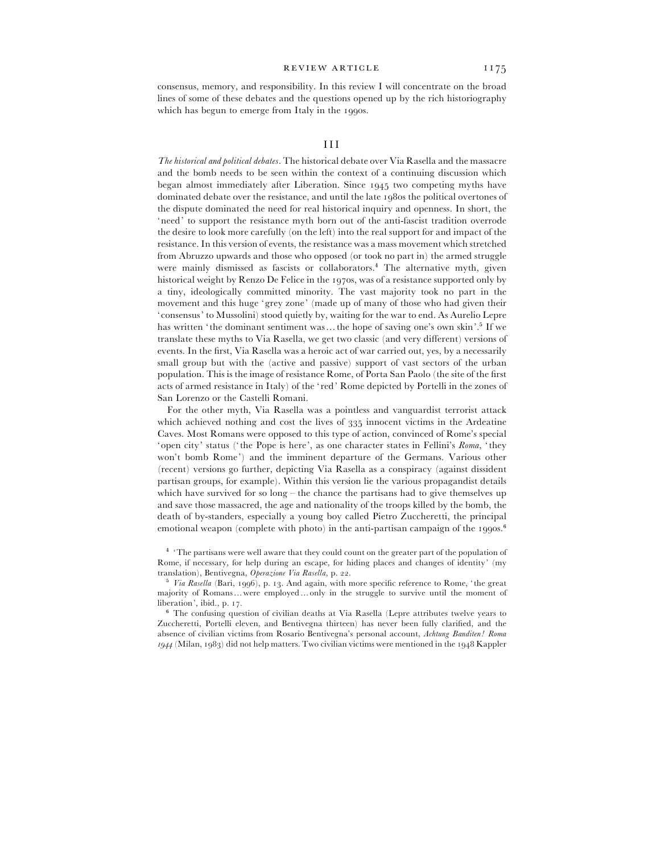consensus, memory, and responsibility. In this review I will concentrate on the broad lines of some of these debates and the questions opened up by the rich historiography which has begun to emerge from Italy in the 1990s.

*The historical and political debates*. The historical debate over Via Rasella and the massacre and the bomb needs to be seen within the context of a continuing discussion which began almost immediately after Liberation. Since two competing myths have dominated debate over the resistance, and until the late 1980s the political overtones of the dispute dominated the need for real historical inquiry and openness. In short, the 'need' to support the resistance myth born out of the anti-fascist tradition overrode the desire to look more carefully (on the left) into the real support for and impact of the resistance. In this version of events, the resistance was a mass movement which stretched from Abruzzo upwards and those who opposed (or took no part in) the armed struggle were mainly dismissed as fascists or collaborators.<sup>4</sup> The alternative myth, given historical weight by Renzo De Felice in the 1970s, was of a resistance supported only by a tiny, ideologically committed minority. The vast majority took no part in the movement and this huge 'grey zone' (made up of many of those who had given their 'consensus' to Mussolini) stood quietly by, waiting for the war to end. As Aurelio Lepre has written 'the dominant sentiment was... the hope of saving one's own skin'.<sup>5</sup> If we translate these myths to Via Rasella, we get two classic (and very different) versions of events. In the first, Via Rasella was a heroic act of war carried out, yes, by a necessarily small group but with the (active and passive) support of vast sectors of the urban population. This is the image of resistance Rome, of Porta San Paolo (the site of the first acts of armed resistance in Italy) of the ' red' Rome depicted by Portelli in the zones of San Lorenzo or the Castelli Romani.

For the other myth, Via Rasella was a pointless and vanguardist terrorist attack which achieved nothing and cost the lives of  $335$  innocent victims in the Ardeatine Caves. Most Romans were opposed to this type of action, convinced of Rome's special ' open city' status (' the Pope is here', as one character states in Fellini's *Roma*, ' they won't bomb Rome') and the imminent departure of the Germans. Various other (recent) versions go further, depicting Via Rasella as a conspiracy (against dissident partisan groups, for example). Within this version lie the various propagandist details which have survived for so  $\log -$  the chance the partisans had to give themselves up and save those massacred, the age and nationality of the troops killed by the bomb, the death of by-standers, especially a young boy called Pietro Zuccheretti, the principal emotional weapon (complete with photo) in the anti-partisan campaign of the 1990s.<sup>6</sup>

<sup>&</sup>lt;sup>4</sup> 'The partisans were well aware that they could count on the greater part of the population of Rome, if necessary, for help during an escape, for hiding places and changes of identity' (my translation), Bentivegna, *Operazione Via Rasella*, p. 22.

<sup>&</sup>lt;sup>5</sup> Via Rasella (Bari, 1996), p. 13. And again, with more specific reference to Rome, 'the great majority of Romans…were employed… only in the struggle to survive until the moment of liberation', ibid., p. 17.

<sup>&</sup>lt;sup>6</sup> The confusing question of civilian deaths at Via Rasella (Lepre attributes twelve years to Zuccheretti, Portelli eleven, and Bentivegna thirteen) has never been fully clarified, and the absence of civilian victims from Rosario Bentivegna's personal account, *Achtung Banditen ! Roma*  $1944$  (Milan, 1983) did not help matters. Two civilian victims were mentioned in the 1948 Kappler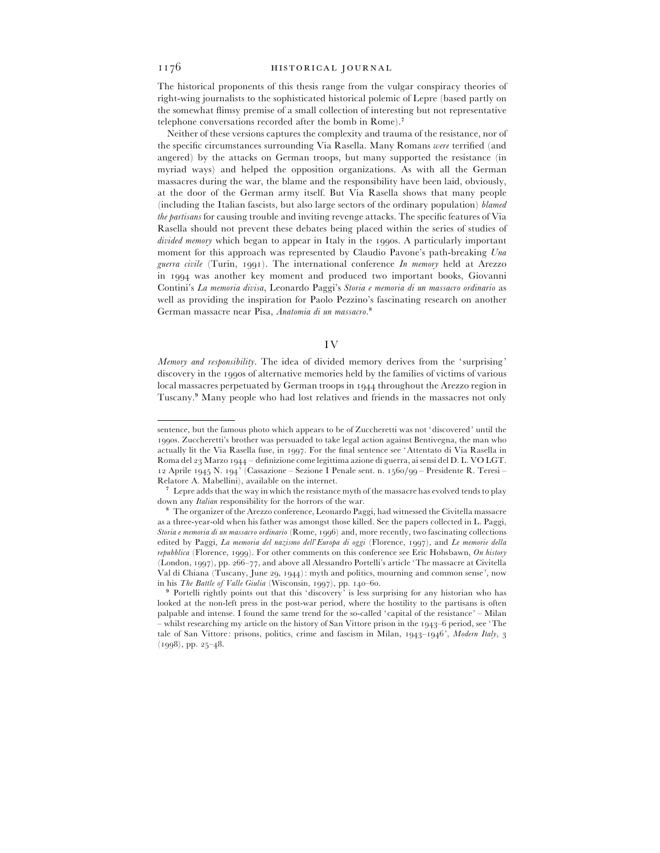#### 1176 HISTORICAL JOURNAL

The historical proponents of this thesis range from the vulgar conspiracy theories of right-wing journalists to the sophisticated historical polemic of Lepre (based partly on the somewhat flimsy premise of a small collection of interesting but not representative telephone conversations recorded after the bomb in  $R$ ome).<sup>7</sup>

Neither of these versions captures the complexity and trauma of the resistance, nor of the specific circumstances surrounding Via Rasella. Many Romans *were* terrified (and angered) by the attacks on German troops, but many supported the resistance (in myriad ways) and helped the opposition organizations. As with all the German massacres during the war, the blame and the responsibility have been laid, obviously, at the door of the German army itself. But Via Rasella shows that many people (including the Italian fascists, but also large sectors of the ordinary population) *blamed the partisans* for causing trouble and inviting revenge attacks. The specific features of Via Rasella should not prevent these debates being placed within the series of studies of *divided memory* which began to appear in Italy in the 1990s. A particularly important moment for this approach was represented by Claudio Pavone's path-breaking *Una guerra civile* (Turin, 1991). The international conference *In memory* held at Arezzo in 1994 was another key moment and produced two important books, Giovanni Contini's *La memoria divisa*, Leonardo Paggi's *Storia e memoria di un massacro ordinario* as well as providing the inspiration for Paolo Pezzino's fascinating research on another German massacre near Pisa, *Anatomia di un massacro*.<sup>8</sup>

#### IV

*Memory and responsibility*. The idea of divided memory derives from the 'surprising' discovery in the 1990s of alternative memories held by the families of victims of various local massacres perpetuated by German troops in 1944 throughout the Arezzo region in Tuscany.\* Many people who had lost relatives and friends in the massacres not only

sentence, but the famous photo which appears to be of Zuccheretti was not 'discovered' until the 1990s. Zuccheretti's brother was persuaded to take legal action against Bentivegna, the man who actually lit the Via Rasella fuse, in 1997. For the final sentence see 'Attentato di Via Rasella in Roma del 23 Marzo 1944 – definizione come legittima azione di guerra, ai sensi del D. L. VO LGT. 12 Aprile 1945 N. 194' (Cassazione – Sezione I Penale sent. n. 1560/99 – Presidente R. Teresi – Relatore A. Mabellini), available on the internet. (

<sup>&</sup>lt;sup>7</sup> Lepre adds that the way in which the resistance myth of the massacre has evolved tends to play down any *Italian* responsibility for the horrors of the war. )

<sup>&</sup>lt;sup>8</sup> The organizer of the Arezzo conference, Leonardo Paggi, had witnessed the Civitella massacre as a three-year-old when his father was amongst those killed. See the papers collected in L. Paggi, *Storia e memoria di un massacro ordinario* (Rome, 1996) and, more recently, two fascinating collections edited by Paggi, *La memoria del nazismo dell'Europa di oggi* (Florence, 1997), and *Le memorie della repubblica* (Florence, 1999). For other comments on this conference see Eric Hobsbawn, On history (London, 1997), pp. 266–77, and above all Alessandro Portelli's article 'The massacre at Civitella Val di Chiana (Tuscany, June 29, 1944): myth and politics, mourning and common sense', now in his *The Battle of Valle Giulia* (Wisconsin, 1997), pp. 140-60.

<sup>&</sup>lt;sup>9</sup> Portelli rightly points out that this 'discovery' is less surprising for any historian who has looked at the non-left press in the post-war period, where the hostility to the partisans is often palpable and intense. I found the same trend for the so-called 'capital of the resistance' – Milan – whilst researching my article on the history of San Vittore prison in the 1943–6 period, see 'The tale of San Vittore: prisons, politics, crime and fascism in Milan,  $1943-1946$ , *Modern Italy*, 3  $(1998), pp. 25-48.$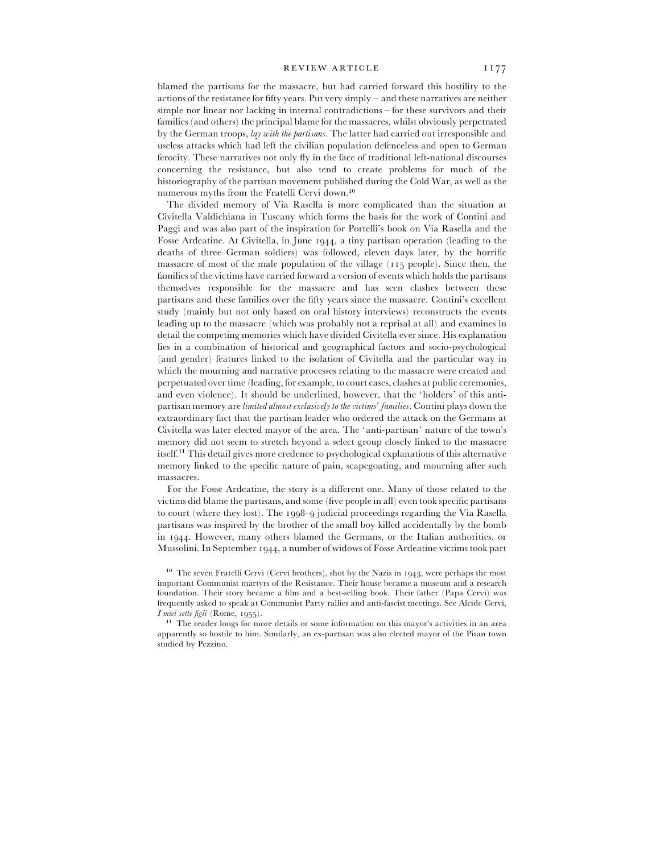#### REVIEW ARTICLE II77

blamed the partisans for the massacre, but had carried forward this hostility to the actions of the resistance for fifty years. Put very simply – and these narratives are neither simple nor linear nor lacking in internal contradictions – for these survivors and their families (and others) the principal blame for the massacres, whilst obviously perpetrated by the German troops, *lay with the partisans*. The latter had carried out irresponsible and useless attacks which had left the civilian population defenceless and open to German ferocity. These narratives not only fly in the face of traditional left-national discourses concerning the resistance, but also tend to create problems for much of the historiography of the partisan movement published during the Cold War, as well as the numerous myths from the Fratelli Cervi down.<sup>10</sup>

The divided memory of Via Rasella is more complicated than the situation at Civitella Valdichiana in Tuscany which forms the basis for the work of Contini and Paggi and was also part of the inspiration for Portelli's book on Via Rasella and the Fosse Ardeatine. At Civitella, in June 1944, a tiny partisan operation (leading to the deaths of three German soldiers) was followed, eleven days later, by the horrific massacre of most of the male population of the village  $(115 \text{ people})$ . Since then, the families of the victims have carried forward a version of events which holds the partisans themselves responsible for the massacre and has seen clashes between these partisans and these families over the fifty years since the massacre. Contini's excellent study (mainly but not only based on oral history interviews) reconstructs the events leading up to the massacre (which was probably not a reprisal at all) and examines in detail the competing memories which have divided Civitella ever since. His explanation lies in a combination of historical and geographical factors and socio-psychological (and gender) features linked to the isolation of Civitella and the particular way in which the mourning and narrative processes relating to the massacre were created and perpetuated over time (leading, for example, to court cases, clashes at public ceremonies, and even violence). It should be underlined, however, that the 'holders' of this antipartisan memory are *limited almost exclusively to the victims*' *families*. Contini plays down the extraordinary fact that the partisan leader who ordered the attack on the Germans at Civitella was later elected mayor of the area. The ' anti-partisan' nature of the town's memory did not seem to stretch beyond a select group closely linked to the massacre itself.<sup>11</sup> This detail gives more credence to psychological explanations of this alternative memory linked to the specific nature of pain, scapegoating, and mourning after such massacres.

For the Fosse Ardeatine, the story is a different one. Many of those related to the victims did blame the partisans, and some (five people in all) even took specific partisans to court (where they lost). The  $1998-9$  judicial proceedings regarding the Via Rasella partisans was inspired by the brother of the small boy killed accidentally by the bomb in 1944. However, many others blamed the Germans, or the Italian authorities, or Mussolini. In September 1944, a number of widows of Fosse Ardeatine victims took part

<sup>10</sup> The seven Fratelli Cervi (Cervi brothers), shot by the Nazis in 1943, were perhaps the most important Communist martyrs of the Resistance. Their house became a museum and a research foundation. Their story became a film and a best-selling book. Their father (Papa Cervi) was frequently asked to speak at Communist Party rallies and anti-fascist meetings. See Alcide Cervi, *I miei sette figli* (Rome, 1955).

<sup>11</sup> The reader longs for more details or some information on this mayor's activities in an area apparently so hostile to him. Similarly, an ex-partisan was also elected mayor of the Pisan town studied by Pezzino.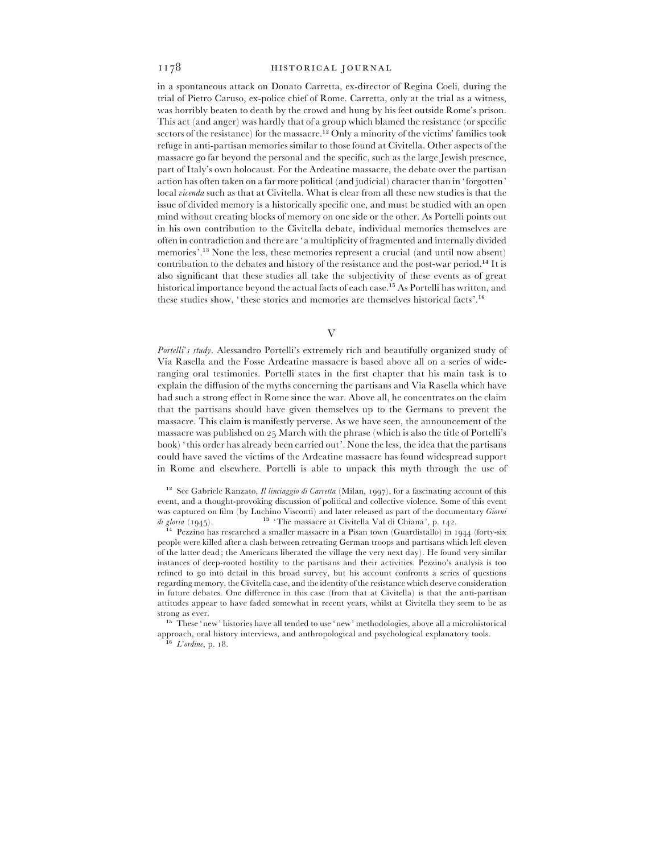in a spontaneous attack on Donato Carretta, ex-director of Regina Coeli, during the trial of Pietro Caruso, ex-police chief of Rome. Carretta, only at the trial as a witness, was horribly beaten to death by the crowd and hung by his feet outside Rome's prison. This act (and anger) was hardly that of a group which blamed the resistance (or specific sectors of the resistance) for the massacre.<sup>12</sup> Only a minority of the victims' families took refuge in anti-partisan memories similar to those found at Civitella. Other aspects of the massacre go far beyond the personal and the specific, such as the large Jewish presence, part of Italy's own holocaust. For the Ardeatine massacre, the debate over the partisan action has often taken on a far more political (and judicial) character than in 'forgotten' local *vicenda* such as that at Civitella. What is clear from all these new studies is that the issue of divided memory is a historically specific one, and must be studied with an open mind without creating blocks of memory on one side or the other. As Portelli points out in his own contribution to the Civitella debate, individual memories themselves are often in contradiction and there are ' a multiplicity of fragmented and internally divided memories'.<sup>13</sup> None the less, these memories represent a crucial (and until now absent) contribution to the debates and history of the resistance and the post-war period.<sup>14</sup> It is also significant that these studies all take the subjectivity of these events as of great historical importance beyond the actual facts of each case.<sup>15</sup> As Portelli has written, and these studies show, 'these stories and memories are themselves historical facts'.<sup>16</sup>

V

*Portelli*'*s study*. Alessandro Portelli's extremely rich and beautifully organized study of Via Rasella and the Fosse Ardeatine massacre is based above all on a series of wideranging oral testimonies. Portelli states in the first chapter that his main task is to explain the diffusion of the myths concerning the partisans and Via Rasella which have had such a strong effect in Rome since the war. Above all, he concentrates on the claim that the partisans should have given themselves up to the Germans to prevent the massacre. This claim is manifestly perverse. As we have seen, the announcement of the massacre was published on  $25$  March with the phrase (which is also the title of Portelli's book) ' this order has already been carried out'. None the less, the idea that the partisans could have saved the victims of the Ardeatine massacre has found widespread support in Rome and elsewhere. Portelli is able to unpack this myth through the use of

<sup>12</sup> See Gabriele Ranzato, *Il linciaggio di Carretta* (Milan, 1997), for a fascinating account of this event, and a thought-provoking discussion of political and collective violence. Some of this event was captured on film (by Luchino Visconti) and later released as part of the documentary *Giorni* was captured on film (by Luchino Visconti) and later released as part of the documentary Giorna<br> *di gloria* (1945).<br>
<sup>14</sup> Pezzino has researched a smaller massacre in a Pisan town (Guardistallo) in 1944 (forty-six

people were killed after a clash between retreating German troops and partisans which left eleven of the latter dead; the Americans liberated the village the very next day). He found very similar instances of deep-rooted hostility to the partisans and their activities. Pezzino's analysis is too refined to go into detail in this broad survey, but his account confronts a series of questions regarding memory, the Civitella case, and the identity of the resistance which deserve consideration in future debates. One difference in this case (from that at Civitella) is that the anti-partisan attitudes appear to have faded somewhat in recent years, whilst at Civitella they seem to be as strong as ever.

 $^{15}\,$  These 'new' histories have all tended to use 'new' methodologies, above all a microhistorical approach, oral history interviews, and anthropological and psychological explanatory tools.<br> $\frac{16}{10}$  Undian  $\pi \cdot 2$ 

<sup>&</sup>lt;sup>16</sup> *L'ordine*, p. 18.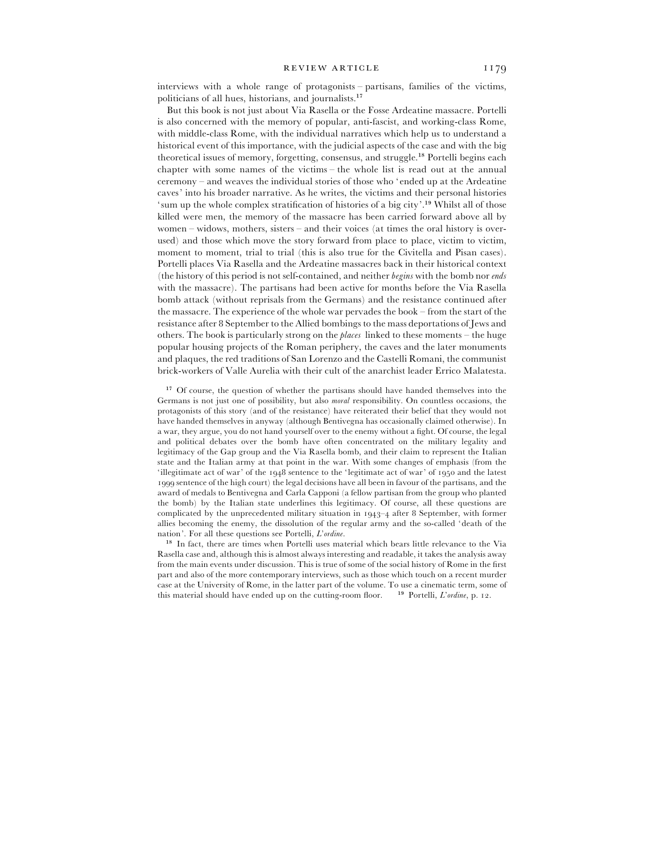interviews with a whole range of protagonists – partisans, families of the victims, politicians of all hues, historians, and journalists.<sup>17</sup>

But this book is not just about Via Rasella or the Fosse Ardeatine massacre. Portelli is also concerned with the memory of popular, anti-fascist, and working-class Rome, with middle-class Rome, with the individual narratives which help us to understand a historical event of this importance, with the judicial aspects of the case and with the big theoretical issues of memory, forgetting, consensus, and struggle.<sup>18</sup> Portelli begins each chapter with some names of the victims – the whole list is read out at the annual ceremony – and weaves the individual stories of those who 'ended up at the Ardeatine caves' into his broader narrative. As he writes, the victims and their personal histories ' sum up the whole complex stratification of histories of a big city'.<sup>19</sup> Whilst all of those killed were men, the memory of the massacre has been carried forward above all by women – widows, mothers, sisters – and their voices (at times the oral history is overused) and those which move the story forward from place to place, victim to victim, moment to moment, trial to trial (this is also true for the Civitella and Pisan cases). Portelli places Via Rasella and the Ardeatine massacres back in their historical context (the history of this period is not self-contained, and neither *begins* with the bomb nor *ends* with the massacre). The partisans had been active for months before the Via Rasella bomb attack (without reprisals from the Germans) and the resistance continued after the massacre. The experience of the whole war pervades the book – from the start of the resistance after September to the Allied bombings to the mass deportations of Jews and others. The book is particularly strong on the *places* linked to these moments – the huge popular housing projects of the Roman periphery, the caves and the later monuments and plaques, the red traditions of San Lorenzo and the Castelli Romani, the communist brick-workers of Valle Aurelia with their cult of the anarchist leader Errico Malatesta.

<sup>17</sup> Of course, the question of whether the partisans should have handed themselves into the Germans is not just one of possibility, but also *moral* responsibility. On countless occasions, the protagonists of this story (and of the resistance) have reiterated their belief that they would not have handed themselves in anyway (although Bentivegna has occasionally claimed otherwise). In a war, they argue, you do not hand yourself over to the enemy without a fight. Of course, the legal and political debates over the bomb have often concentrated on the military legality and legitimacy of the Gap group and the Via Rasella bomb, and their claim to represent the Italian state and the Italian army at that point in the war. With some changes of emphasis (from the 'illegitimate act of war' of the  $1948$  sentence to the 'legitimate act of war' of  $1950$  and the latest 1999 sentence of the high court) the legal decisions have all been in favour of the partisans, and the award of medals to Bentivegna and Carla Capponi (a fellow partisan from the group who planted the bomb) by the Italian state underlines this legitimacy. Of course, all these questions are complicated by the unprecedented military situation in 1943-4 after 8 September, with former allies becoming the enemy, the dissolution of the regular army and the so-called 'death of the nation'. For all these questions see Portelli, *L*'*ordine*. ")

<sup>18</sup> In fact, there are times when Portelli uses material which bears little relevance to the Via Rasella case and, although this is almost always interesting and readable, it takes the analysis away from the main events under discussion. This is true of some of the social history of Rome in the first part and also of the more contemporary interviews, such as those which touch on a recent murder case at the University of Rome, in the latter part of the volume. To use a cinematic term, some of this material should have ended up on the cutting-room floor.  $\frac{19}{2}$  Portelli, *L'ordine*, p. 12.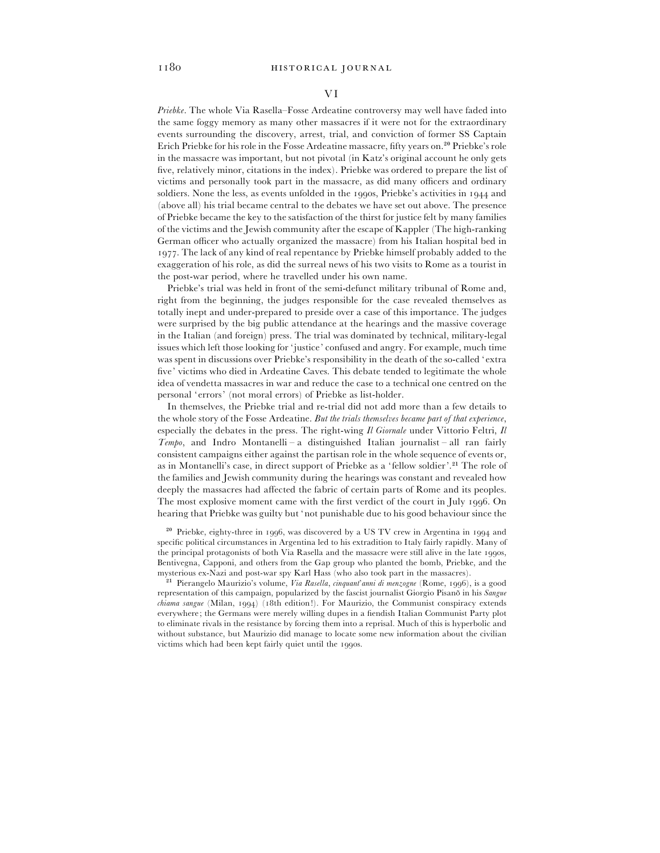#### VI

*Priebke*. The whole Via Rasella–Fosse Ardeatine controversy may well have faded into the same foggy memory as many other massacres if it were not for the extraordinary events surrounding the discovery, arrest, trial, and conviction of former SS Captain Erich Priebke for his role in the Fosse Ardeatine massacre, fifty years on.<sup>20</sup> Priebke's role in the massacre was important, but not pivotal (in Katz's original account he only gets five, relatively minor, citations in the index). Priebke was ordered to prepare the list of victims and personally took part in the massacre, as did many officers and ordinary soldiers. None the less, as events unfolded in the 1990s, Priebke's activities in 1944 and (above all) his trial became central to the debates we have set out above. The presence of Priebke became the key to the satisfaction of the thirst for justice felt by many families of the victims and the Jewish community after the escape of Kappler (The high-ranking German officer who actually organized the massacre) from his Italian hospital bed in . The lack of any kind of real repentance by Priebke himself probably added to the exaggeration of his role, as did the surreal news of his two visits to Rome as a tourist in the post-war period, where he travelled under his own name.

Priebke's trial was held in front of the semi-defunct military tribunal of Rome and, right from the beginning, the judges responsible for the case revealed themselves as totally inept and under-prepared to preside over a case of this importance. The judges were surprised by the big public attendance at the hearings and the massive coverage in the Italian (and foreign) press. The trial was dominated by technical, military-legal issues which left those looking for 'justice' confused and angry. For example, much time was spent in discussions over Priebke's responsibility in the death of the so-called 'extra five' victims who died in Ardeatine Caves. This debate tended to legitimate the whole idea of vendetta massacres in war and reduce the case to a technical one centred on the personal 'errors' (not moral errors) of Priebke as list-holder.

In themselves, the Priebke trial and re-trial did not add more than a few details to the whole story of the Fosse Ardeatine. *But the trials themselves became part of that experience*, especially the debates in the press. The right-wing *Il Giornale* under Vittorio Feltri, *Il Tempo*, and Indro Montanelli – a distinguished Italian journalist – all ran fairly consistent campaigns either against the partisan role in the whole sequence of events or, as in Montanelli's case, in direct support of Priebke as a 'fellow soldier'.<sup>21</sup> The role of the families and Jewish community during the hearings was constant and revealed how deeply the massacres had affected the fabric of certain parts of Rome and its peoples. The most explosive moment came with the first verdict of the court in July 1996. On hearing that Priebke was guilty but 'not punishable due to his good behaviour since the

 $20$  Priebke, eighty-three in 1996, was discovered by a US TV crew in Argentina in 1994 and specific political circumstances in Argentina led to his extradition to Italy fairly rapidly. Many of the principal protagonists of both Via Rasella and the massacre were still alive in the late 1990s, Bentivegna, Capponi, and others from the Gap group who planted the bomb, Priebke, and the mysterious ex-Nazi and post-war spy Karl Hass (who also took part in the massacres).

<sup>21</sup> Pierangelo Maurizio's volume, *Via Rasella, cinquant'anni di menzogne* (Rome, 1996), is a good representation of this campaign, popularized by the fascist journalist Giorgio Pisano in his *Sangue chiama sangue* (Milan, 1994) (18th edition!). For Maurizio, the Communist conspiracy extends everywhere; the Germans were merely willing dupes in a fiendish Italian Communist Party plot to eliminate rivals in the resistance by forcing them into a reprisal. Much of this is hyperbolic and without substance, but Maurizio did manage to locate some new information about the civilian victims which had been kept fairly quiet until the 1990s.